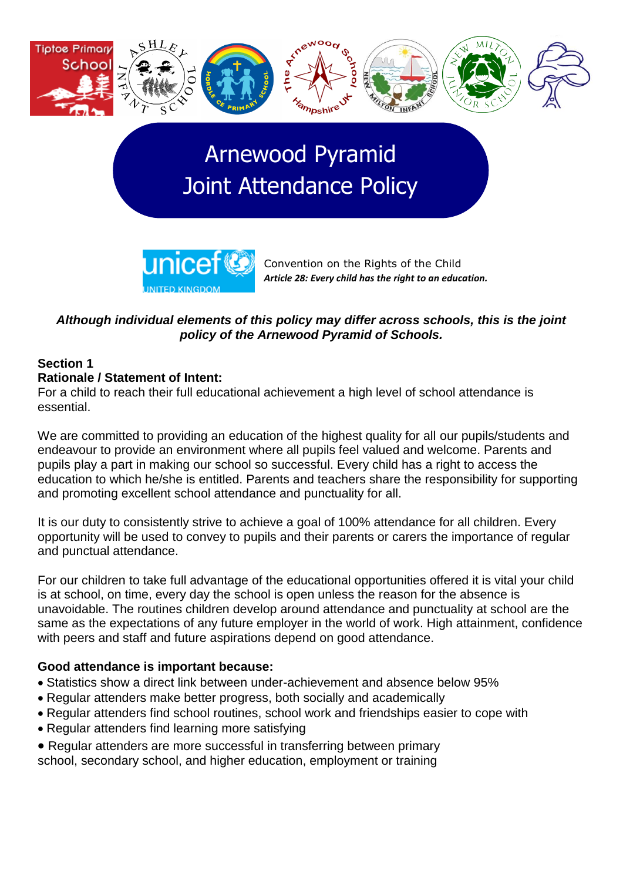

# Arnewood Pyramid Joint Attendance Policy



Convention on the Rights of the Child *Article 28: Every child has the right to an education.*

# *Although individual elements of this policy may differ across schools, this is the joint policy of the Arnewood Pyramid of Schools.*

#### **Section 1 Rationale / Statement of Intent:**

For a child to reach their full educational achievement a high level of school attendance is essential.

We are committed to providing an education of the highest quality for all our pupils/students and endeavour to provide an environment where all pupils feel valued and welcome. Parents and pupils play a part in making our school so successful. Every child has a right to access the education to which he/she is entitled. Parents and teachers share the responsibility for supporting and promoting excellent school attendance and punctuality for all.

It is our duty to consistently strive to achieve a goal of 100% attendance for all children. Every opportunity will be used to convey to pupils and their parents or carers the importance of regular and punctual attendance.

For our children to take full advantage of the educational opportunities offered it is vital your child is at school, on time, every day the school is open unless the reason for the absence is unavoidable. The routines children develop around attendance and punctuality at school are the same as the expectations of any future employer in the world of work. High attainment, confidence with peers and staff and future aspirations depend on good attendance.

# **Good attendance is important because:**

- Statistics show a direct link between under-achievement and absence below 95%
- Regular attenders make better progress, both socially and academically
- Regular attenders find school routines, school work and friendships easier to cope with
- Regular attenders find learning more satisfying
- Regular attenders are more successful in transferring between primary
- school, secondary school, and higher education, employment or training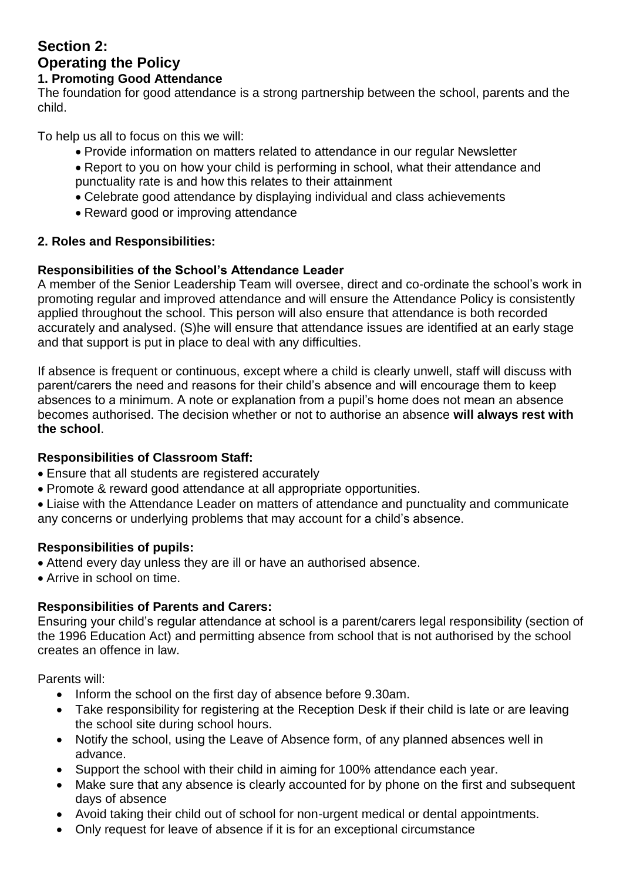# **Section 2: Operating the Policy**

### **1. Promoting Good Attendance**

The foundation for good attendance is a strong partnership between the school, parents and the child.

To help us all to focus on this we will:

- Provide information on matters related to attendance in our regular Newsletter
- Report to you on how your child is performing in school, what their attendance and punctuality rate is and how this relates to their attainment
- Celebrate good attendance by displaying individual and class achievements
- Reward good or improving attendance

# **2. Roles and Responsibilities:**

# **Responsibilities of the School's Attendance Leader**

A member of the Senior Leadership Team will oversee, direct and co-ordinate the school's work in promoting regular and improved attendance and will ensure the Attendance Policy is consistently applied throughout the school. This person will also ensure that attendance is both recorded accurately and analysed. (S)he will ensure that attendance issues are identified at an early stage and that support is put in place to deal with any difficulties.

If absence is frequent or continuous, except where a child is clearly unwell, staff will discuss with parent/carers the need and reasons for their child's absence and will encourage them to keep absences to a minimum. A note or explanation from a pupil's home does not mean an absence becomes authorised. The decision whether or not to authorise an absence **will always rest with the school**.

# **Responsibilities of Classroom Staff:**

- Ensure that all students are registered accurately
- Promote & reward good attendance at all appropriate opportunities.

Liaise with the Attendance Leader on matters of attendance and punctuality and communicate any concerns or underlying problems that may account for a child's absence.

# **Responsibilities of pupils:**

- Attend every day unless they are ill or have an authorised absence.
- Arrive in school on time.

# **Responsibilities of Parents and Carers:**

Ensuring your child's regular attendance at school is a parent/carers legal responsibility (section of the 1996 Education Act) and permitting absence from school that is not authorised by the school creates an offence in law.

Parents will:

- Inform the school on the first day of absence before 9.30am.
- Take responsibility for registering at the Reception Desk if their child is late or are leaving the school site during school hours.
- Notify the school, using the Leave of Absence form, of any planned absences well in advance.
- Support the school with their child in aiming for 100% attendance each year.
- Make sure that any absence is clearly accounted for by phone on the first and subsequent days of absence
- Avoid taking their child out of school for non-urgent medical or dental appointments.
- Only request for leave of absence if it is for an exceptional circumstance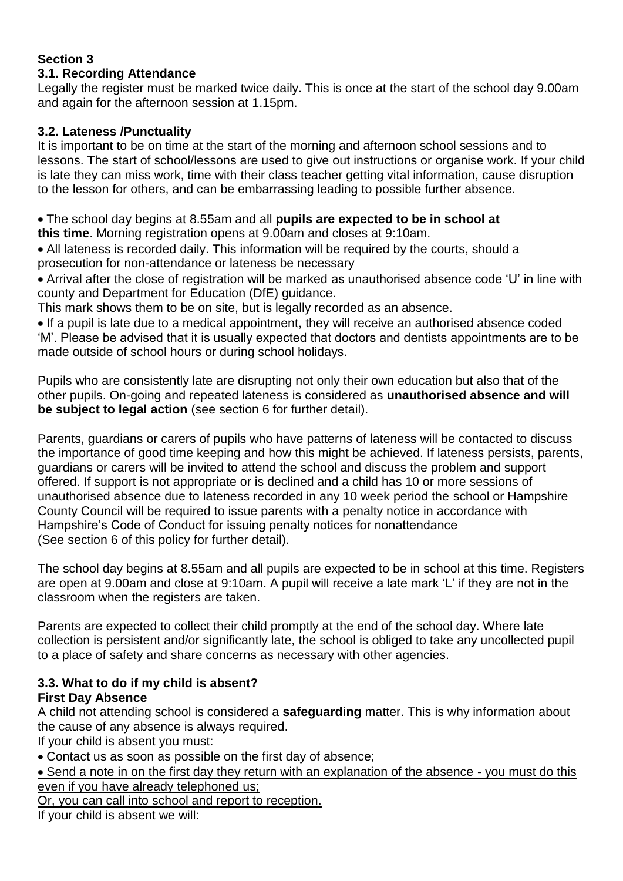# **Section 3**

# **3.1. Recording Attendance**

Legally the register must be marked twice daily. This is once at the start of the school day 9.00am and again for the afternoon session at 1.15pm.

#### **3.2. Lateness /Punctuality**

It is important to be on time at the start of the morning and afternoon school sessions and to lessons. The start of school/lessons are used to give out instructions or organise work. If your child is late they can miss work, time with their class teacher getting vital information, cause disruption to the lesson for others, and can be embarrassing leading to possible further absence.

The school day begins at 8.55am and all **pupils are expected to be in school at this time**. Morning registration opens at 9.00am and closes at 9:10am.

All lateness is recorded daily. This information will be required by the courts, should a prosecution for non-attendance or lateness be necessary

Arrival after the close of registration will be marked as unauthorised absence code 'U' in line with county and Department for Education (DfE) guidance.

This mark shows them to be on site, but is legally recorded as an absence.

• If a pupil is late due to a medical appointment, they will receive an authorised absence coded 'M'. Please be advised that it is usually expected that doctors and dentists appointments are to be made outside of school hours or during school holidays.

Pupils who are consistently late are disrupting not only their own education but also that of the other pupils. On-going and repeated lateness is considered as **unauthorised absence and will be subject to legal action** (see section 6 for further detail).

Parents, guardians or carers of pupils who have patterns of lateness will be contacted to discuss the importance of good time keeping and how this might be achieved. If lateness persists, parents, guardians or carers will be invited to attend the school and discuss the problem and support offered. If support is not appropriate or is declined and a child has 10 or more sessions of unauthorised absence due to lateness recorded in any 10 week period the school or Hampshire County Council will be required to issue parents with a penalty notice in accordance with Hampshire's Code of Conduct for issuing penalty notices for nonattendance (See section 6 of this policy for further detail).

The school day begins at 8.55am and all pupils are expected to be in school at this time. Registers are open at 9.00am and close at 9:10am. A pupil will receive a late mark 'L' if they are not in the classroom when the registers are taken.

Parents are expected to collect their child promptly at the end of the school day. Where late collection is persistent and/or significantly late, the school is obliged to take any uncollected pupil to a place of safety and share concerns as necessary with other agencies.

# **3.3. What to do if my child is absent?**

# **First Day Absence**

A child not attending school is considered a **safeguarding** matter. This is why information about the cause of any absence is always required.

If your child is absent you must:

Contact us as soon as possible on the first day of absence;

• Send a note in on the first day they return with an explanation of the absence - you must do this even if you have already telephoned us;

Or, you can call into school and report to reception.

If your child is absent we will: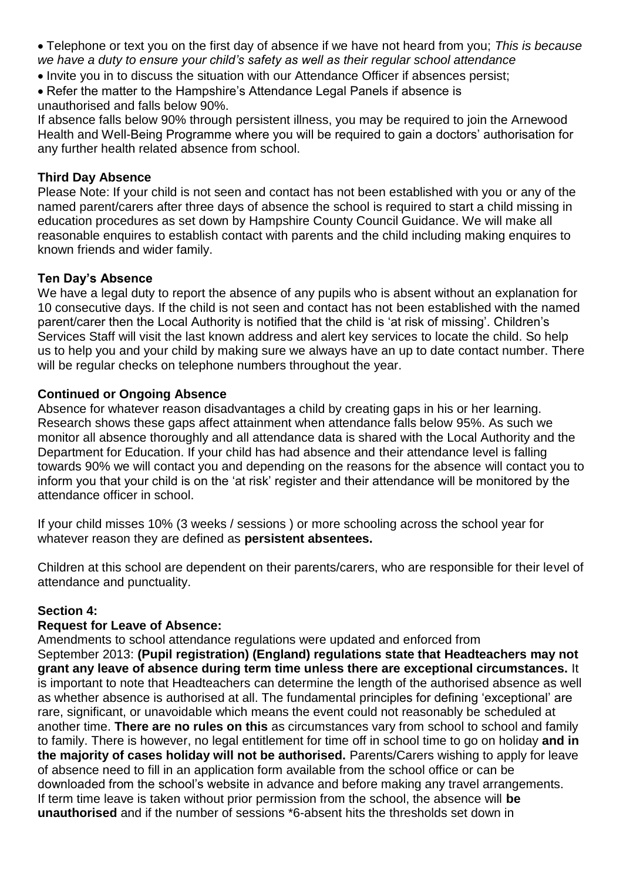- Telephone or text you on the first day of absence if we have not heard from you; *This is because we have a duty to ensure your child's safety as well as their regular school attendance*
- Invite you in to discuss the situation with our Attendance Officer if absences persist:
- Refer the matter to the Hampshire's Attendance Legal Panels if absence is unauthorised and falls below 90%.

If absence falls below 90% through persistent illness, you may be required to join the Arnewood Health and Well-Being Programme where you will be required to gain a doctors' authorisation for any further health related absence from school.

# **Third Day Absence**

Please Note: If your child is not seen and contact has not been established with you or any of the named parent/carers after three days of absence the school is required to start a child missing in education procedures as set down by Hampshire County Council Guidance. We will make all reasonable enquires to establish contact with parents and the child including making enquires to known friends and wider family.

#### **Ten Day's Absence**

We have a legal duty to report the absence of any pupils who is absent without an explanation for 10 consecutive days. If the child is not seen and contact has not been established with the named parent/carer then the Local Authority is notified that the child is 'at risk of missing'. Children's Services Staff will visit the last known address and alert key services to locate the child. So help us to help you and your child by making sure we always have an up to date contact number. There will be regular checks on telephone numbers throughout the year.

# **Continued or Ongoing Absence**

Absence for whatever reason disadvantages a child by creating gaps in his or her learning. Research shows these gaps affect attainment when attendance falls below 95%. As such we monitor all absence thoroughly and all attendance data is shared with the Local Authority and the Department for Education. If your child has had absence and their attendance level is falling towards 90% we will contact you and depending on the reasons for the absence will contact you to inform you that your child is on the 'at risk' register and their attendance will be monitored by the attendance officer in school.

If your child misses 10% (3 weeks / sessions ) or more schooling across the school year for whatever reason they are defined as **persistent absentees.** 

Children at this school are dependent on their parents/carers, who are responsible for their level of attendance and punctuality.

# **Section 4:**

#### **Request for Leave of Absence:**

Amendments to school attendance regulations were updated and enforced from September 2013: **(Pupil registration) (England) regulations state that Headteachers may not grant any leave of absence during term time unless there are exceptional circumstances.** It is important to note that Headteachers can determine the length of the authorised absence as well as whether absence is authorised at all. The fundamental principles for defining 'exceptional' are rare, significant, or unavoidable which means the event could not reasonably be scheduled at another time. **There are no rules on this** as circumstances vary from school to school and family to family. There is however, no legal entitlement for time off in school time to go on holiday **and in the majority of cases holiday will not be authorised.** Parents/Carers wishing to apply for leave of absence need to fill in an application form available from the school office or can be downloaded from the school's website in advance and before making any travel arrangements. If term time leave is taken without prior permission from the school, the absence will **be unauthorised** and if the number of sessions \*6-absent hits the thresholds set down in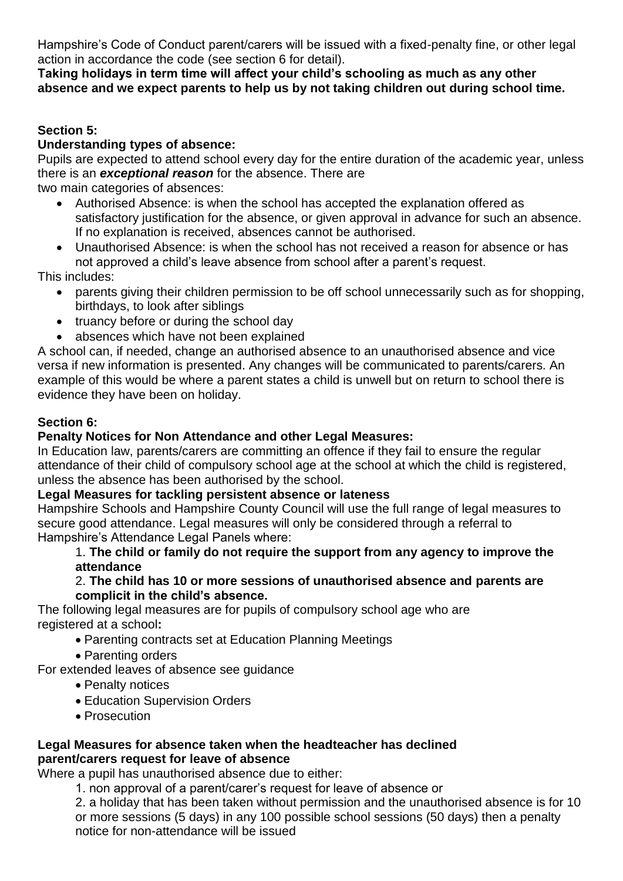Hampshire's Code of Conduct parent/carers will be issued with a fixed-penalty fine, or other legal action in accordance the code (see section 6 for detail).

# **Taking holidays in term time will affect your child's schooling as much as any other absence and we expect parents to help us by not taking children out during school time.**

# **Section 5:**

# **Understanding types of absence:**

Pupils are expected to attend school every day for the entire duration of the academic year, unless there is an *exceptional reason* for the absence. There are

two main categories of absences:

- Authorised Absence: is when the school has accepted the explanation offered as satisfactory justification for the absence, or given approval in advance for such an absence. If no explanation is received, absences cannot be authorised.
- Unauthorised Absence: is when the school has not received a reason for absence or has not approved a child's leave absence from school after a parent's request.

This includes:

- parents giving their children permission to be off school unnecessarily such as for shopping, birthdays, to look after siblings
- truancy before or during the school day
- absences which have not been explained

A school can, if needed, change an authorised absence to an unauthorised absence and vice versa if new information is presented. Any changes will be communicated to parents/carers. An example of this would be where a parent states a child is unwell but on return to school there is evidence they have been on holiday.

# **Section 6:**

# **Penalty Notices for Non Attendance and other Legal Measures:**

In Education law, parents/carers are committing an offence if they fail to ensure the regular attendance of their child of compulsory school age at the school at which the child is registered, unless the absence has been authorised by the school.

# **Legal Measures for tackling persistent absence or lateness**

Hampshire Schools and Hampshire County Council will use the full range of legal measures to secure good attendance. Legal measures will only be considered through a referral to Hampshire's Attendance Legal Panels where:

# 1. **The child or family do not require the support from any agency to improve the attendance**

#### 2. **The child has 10 or more sessions of unauthorised absence and parents are complicit in the child's absence.**

The following legal measures are for pupils of compulsory school age who are registered at a school**:**

- Parenting contracts set at Education Planning Meetings
- Parenting orders

For extended leaves of absence see guidance

- Penalty notices
- Education Supervision Orders
- Prosecution

#### **Legal Measures for absence taken when the headteacher has declined parent/carers request for leave of absence**

Where a pupil has unauthorised absence due to either:

1. non approval of a parent/carer's request for leave of absence or

2. a holiday that has been taken without permission and the unauthorised absence is for 10 or more sessions (5 days) in any 100 possible school sessions (50 days) then a penalty notice for non-attendance will be issued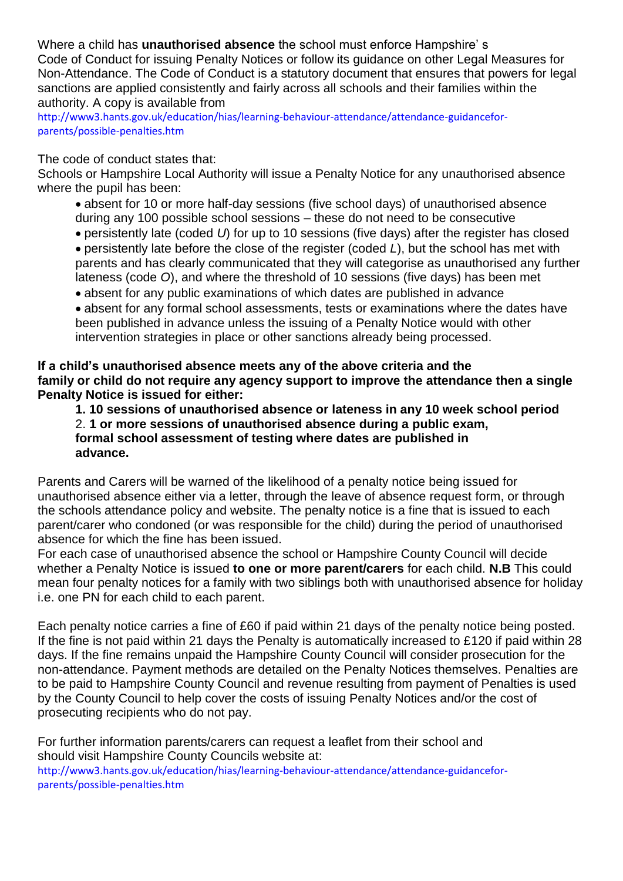Where a child has **unauthorised absence** the school must enforce Hampshire' s Code of Conduct for issuing Penalty Notices or follow its guidance on other Legal Measures for Non-Attendance. The Code of Conduct is a statutory document that ensures that powers for legal sanctions are applied consistently and fairly across all schools and their families within the authority. A copy is available from

http://www3.hants.gov.uk/education/hias/learning-behaviour-attendance/attendance-guidanceforparents/possible-penalties.htm

#### The code of conduct states that:

Schools or Hampshire Local Authority will issue a Penalty Notice for any unauthorised absence where the pupil has been:

- absent for 10 or more half-day sessions (five school days) of unauthorised absence during any 100 possible school sessions – these do not need to be consecutive
- persistently late (coded *U*) for up to 10 sessions (five days) after the register has closed persistently late before the close of the register (coded *L*), but the school has met with parents and has clearly communicated that they will categorise as unauthorised any further lateness (code *O*), and where the threshold of 10 sessions (five days) has been met
- absent for any public examinations of which dates are published in advance

absent for any formal school assessments, tests or examinations where the dates have been published in advance unless the issuing of a Penalty Notice would with other intervention strategies in place or other sanctions already being processed.

**If a child's unauthorised absence meets any of the above criteria and the family or child do not require any agency support to improve the attendance then a single Penalty Notice is issued for either:**

**1. 10 sessions of unauthorised absence or lateness in any 10 week school period** 2. **1 or more sessions of unauthorised absence during a public exam, formal school assessment of testing where dates are published in advance.**

Parents and Carers will be warned of the likelihood of a penalty notice being issued for unauthorised absence either via a letter, through the leave of absence request form, or through the schools attendance policy and website. The penalty notice is a fine that is issued to each parent/carer who condoned (or was responsible for the child) during the period of unauthorised absence for which the fine has been issued.

For each case of unauthorised absence the school or Hampshire County Council will decide whether a Penalty Notice is issued **to one or more parent/carers** for each child. **N.B** This could mean four penalty notices for a family with two siblings both with unauthorised absence for holiday i.e. one PN for each child to each parent.

Each penalty notice carries a fine of £60 if paid within 21 days of the penalty notice being posted. If the fine is not paid within 21 days the Penalty is automatically increased to £120 if paid within 28 days. If the fine remains unpaid the Hampshire County Council will consider prosecution for the non-attendance. Payment methods are detailed on the Penalty Notices themselves. Penalties are to be paid to Hampshire County Council and revenue resulting from payment of Penalties is used by the County Council to help cover the costs of issuing Penalty Notices and/or the cost of prosecuting recipients who do not pay.

For further information parents/carers can request a leaflet from their school and should visit Hampshire County Councils website at: http://www3.hants.gov.uk/education/hias/learning-behaviour-attendance/attendance-guidanceforparents/possible-penalties.htm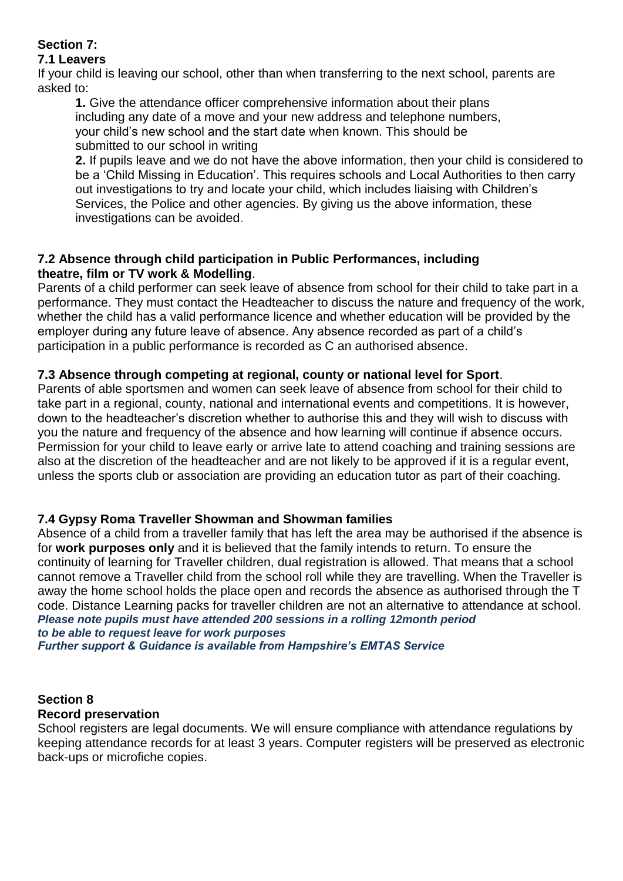# **Section 7:**

# **7.1 Leavers**

If your child is leaving our school, other than when transferring to the next school, parents are asked to:

**1.** Give the attendance officer comprehensive information about their plans including any date of a move and your new address and telephone numbers, your child's new school and the start date when known. This should be submitted to our school in writing

**2.** If pupils leave and we do not have the above information, then your child is considered to be a 'Child Missing in Education'. This requires schools and Local Authorities to then carry out investigations to try and locate your child, which includes liaising with Children's Services, the Police and other agencies. By giving us the above information, these investigations can be avoided.

# **7.2 Absence through child participation in Public Performances, including theatre, film or TV work & Modelling**.

Parents of a child performer can seek leave of absence from school for their child to take part in a performance. They must contact the Headteacher to discuss the nature and frequency of the work, whether the child has a valid performance licence and whether education will be provided by the employer during any future leave of absence. Any absence recorded as part of a child's participation in a public performance is recorded as C an authorised absence.

# **7.3 Absence through competing at regional, county or national level for Sport**.

Parents of able sportsmen and women can seek leave of absence from school for their child to take part in a regional, county, national and international events and competitions. It is however, down to the headteacher's discretion whether to authorise this and they will wish to discuss with you the nature and frequency of the absence and how learning will continue if absence occurs. Permission for your child to leave early or arrive late to attend coaching and training sessions are also at the discretion of the headteacher and are not likely to be approved if it is a regular event, unless the sports club or association are providing an education tutor as part of their coaching.

# **7.4 Gypsy Roma Traveller Showman and Showman families**

Absence of a child from a traveller family that has left the area may be authorised if the absence is for **work purposes only** and it is believed that the family intends to return. To ensure the continuity of learning for Traveller children, dual registration is allowed. That means that a school cannot remove a Traveller child from the school roll while they are travelling. When the Traveller is away the home school holds the place open and records the absence as authorised through the T code. Distance Learning packs for traveller children are not an alternative to attendance at school. *Please note pupils must have attended 200 sessions in a rolling 12month period to be able to request leave for work purposes Further support & Guidance is available from Hampshire's EMTAS Service*

#### **Section 8 Record preservation**

School registers are legal documents. We will ensure compliance with attendance regulations by keeping attendance records for at least 3 years. Computer registers will be preserved as electronic back-ups or microfiche copies.